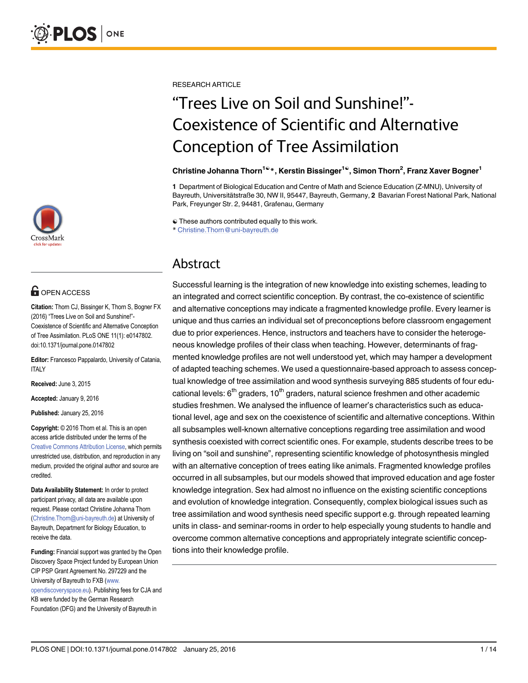

# **G** OPEN ACCESS

Citation: Thorn CJ, Bissinger K, Thorn S, Bogner FX (2016) "Trees Live on Soil and Sunshine!"- Coexistence of Scientific and Alternative Conception of Tree Assimilation. PLoS ONE 11(1): e0147802. doi:10.1371/journal.pone.0147802

Editor: Francesco Pappalardo, University of Catania, ITALY

Received: June 3, 2015

Accepted: January 9, 2016

Published: January 25, 2016

Copyright: © 2016 Thorn et al. This is an open access article distributed under the terms of the [Creative Commons Attribution License,](http://creativecommons.org/licenses/by/4.0/) which permits unrestricted use, distribution, and reproduction in any medium, provided the original author and source are credited.

Data Availability Statement: In order to protect participant privacy, all data are available upon request. Please contact Christine Johanna Thorn (Christine.Thorn@uni-bayreuth.de) at University of Bayreuth, Department for Biology Education, to receive the data.

Funding: Financial support was granted by the Open Discovery Space Project funded by European Union CIP PSP Grant Agreement No. 297229 and the University of Bayreuth to FXB ([www.](http://www.opendiscoveryspace.eu) [opendiscoveryspace.eu](http://www.opendiscoveryspace.eu)). Publishing fees for CJA and KB were funded by the German Research Foundation (DFG) and the University of Bayreuth in

RESEARCH ARTICLE

# "Trees Live on Soil and Sunshine!"- Coexistence of Scientific and Alternative Conception of Tree Assimilation

#### Christine Johanna Thorn<sup>1©</sup>\*, Kerstin Bissinger<sup>1©</sup>, Simon Thorn<sup>2</sup>, Franz Xaver Bogner<sup>1</sup>

1 Department of Biological Education and Centre of Math and Science Education (Z-MNU), University of Bayreuth, Universitätstraße 30, NW II, 95447, Bayreuth, Germany, 2 Bavarian Forest National Park, National Park, Freyunger Str. 2, 94481, Grafenau, Germany

 $\odot$  These authors contributed equally to this work.

\* Christine.Thorn@uni-bayreuth.de

# Abstract

Successful learning is the integration of new knowledge into existing schemes, leading to an integrated and correct scientific conception. By contrast, the co-existence of scientific and alternative conceptions may indicate a fragmented knowledge profile. Every learner is unique and thus carries an individual set of preconceptions before classroom engagement due to prior experiences. Hence, instructors and teachers have to consider the heterogeneous knowledge profiles of their class when teaching. However, determinants of fragmented knowledge profiles are not well understood yet, which may hamper a development of adapted teaching schemes. We used a questionnaire-based approach to assess conceptual knowledge of tree assimilation and wood synthesis surveying 885 students of four educational levels:  $6<sup>th</sup>$  graders, 10<sup>th</sup> graders, natural science freshmen and other academic studies freshmen. We analysed the influence of learner's characteristics such as educational level, age and sex on the coexistence of scientific and alternative conceptions. Within all subsamples well-known alternative conceptions regarding tree assimilation and wood synthesis coexisted with correct scientific ones. For example, students describe trees to be living on "soil and sunshine", representing scientific knowledge of photosynthesis mingled with an alternative conception of trees eating like animals. Fragmented knowledge profiles occurred in all subsamples, but our models showed that improved education and age foster knowledge integration. Sex had almost no influence on the existing scientific conceptions and evolution of knowledge integration. Consequently, complex biological issues such as tree assimilation and wood synthesis need specific support e.g. through repeated learning units in class- and seminar-rooms in order to help especially young students to handle and overcome common alternative conceptions and appropriately integrate scientific conceptions into their knowledge profile.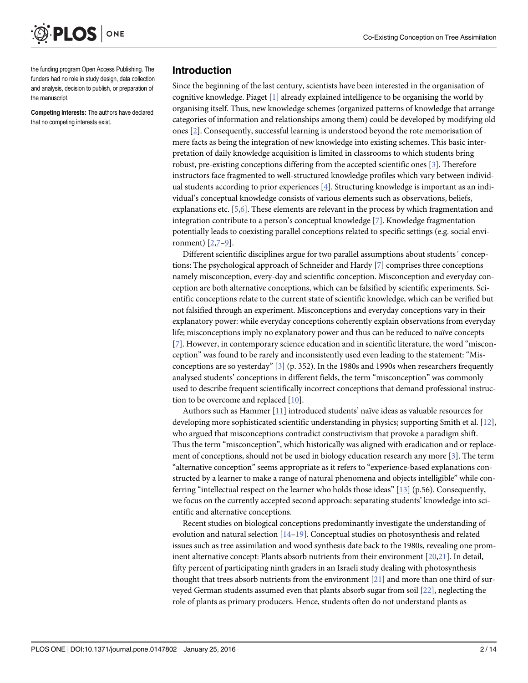<span id="page-1-0"></span>

the funding program Open Access Publishing. The funders had no role in study design, data collection and analysis, decision to publish, or preparation of the manuscript.

Competing Interests: The authors have declared that no competing interests exist.

# Introduction

Since the beginning of the last century, scientists have been interested in the organisation of cognitive knowledge. Piaget  $[1]$  $[1]$  $[1]$  already explained intelligence to be organising the world by organising itself. Thus, new knowledge schemes (organized patterns of knowledge that arrange categories of information and relationships among them) could be developed by modifying old ones [[2\]](#page-11-0). Consequently, successful learning is understood beyond the rote memorisation of mere facts as being the integration of new knowledge into existing schemes. This basic interpretation of daily knowledge acquisition is limited in classrooms to which students bring robust, pre-existing conceptions differing from the accepted scientific ones [[3](#page-11-0)]. Therefore instructors face fragmented to well-structured knowledge profiles which vary between individual students according to prior experiences  $[4]$  $[4]$  $[4]$ . Structuring knowledge is important as an individual's conceptual knowledge consists of various elements such as observations, beliefs, explanations etc.  $[5,6]$  $[5,6]$ . These elements are relevant in the process by which fragmentation and integration contribute to a person's conceptual knowledge [\[7](#page-11-0)]. Knowledge fragmentation potentially leads to coexisting parallel conceptions related to specific settings (e.g. social environment) [[2,7](#page-11-0)–[9\]](#page-11-0).

Different scientific disciplines argue for two parallel assumptions about students´ conceptions: The psychological approach of Schneider and Hardy [\[7](#page-11-0)] comprises three conceptions namely misconception, every-day and scientific conception. Misconception and everyday conception are both alternative conceptions, which can be falsified by scientific experiments. Scientific conceptions relate to the current state of scientific knowledge, which can be verified but not falsified through an experiment. Misconceptions and everyday conceptions vary in their explanatory power: while everyday conceptions coherently explain observations from everyday life; misconceptions imply no explanatory power and thus can be reduced to naïve concepts [\[7](#page-11-0)]. However, in contemporary science education and in scientific literature, the word "misconception" was found to be rarely and inconsistently used even leading to the statement: "Misconceptions are so yesterday"  $\lceil 3 \rceil$  (p. 352). In the 1980s and 1990s when researchers frequently analysed students' conceptions in different fields, the term "misconception" was commonly used to describe frequent scientifically incorrect conceptions that demand professional instruction to be overcome and replaced  $[10]$ .

Authors such as Hammer [\[11](#page-12-0)] introduced students' naïve ideas as valuable resources for developing more sophisticated scientific understanding in physics; supporting Smith et al. [\[12](#page-12-0)], who argued that misconceptions contradict constructivism that provoke a paradigm shift. Thus the term "misconception", which historically was aligned with eradication and or replacement of conceptions, should not be used in biology education research any more [[3](#page-11-0)]. The term "alternative conception" seems appropriate as it refers to "experience-based explanations constructed by a learner to make a range of natural phenomena and objects intelligible" while conferring "intellectual respect on the learner who holds those ideas" [[13\]](#page-12-0) (p.56). Consequently, we focus on the currently accepted second approach: separating students' knowledge into scientific and alternative conceptions.

Recent studies on biological conceptions predominantly investigate the understanding of evolution and natural selection [\[14](#page-12-0)–[19](#page-12-0)]. Conceptual studies on photosynthesis and related issues such as tree assimilation and wood synthesis date back to the 1980s, revealing one prominent alternative concept: Plants absorb nutrients from their environment [[20](#page-12-0),[21](#page-12-0)]. In detail, fifty percent of participating ninth graders in an Israeli study dealing with photosynthesis thought that trees absorb nutrients from the environment [[21](#page-12-0)] and more than one third of surveyed German students assumed even that plants absorb sugar from soil [[22](#page-12-0)], neglecting the role of plants as primary producers. Hence, students often do not understand plants as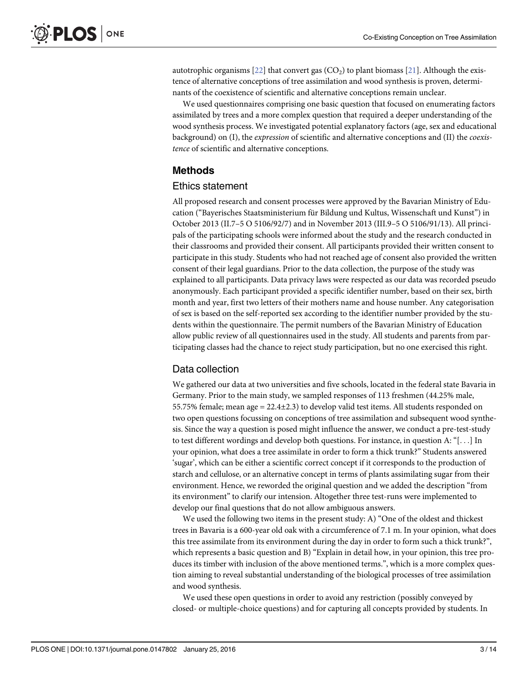autotrophic organisms  $[22]$  $[22]$  $[22]$  that convert gas (CO<sub>2</sub>) to plant biomass  $[21]$  $[21]$ . Although the existence of alternative conceptions of tree assimilation and wood synthesis is proven, determinants of the coexistence of scientific and alternative conceptions remain unclear.

We used questionnaires comprising one basic question that focused on enumerating factors assimilated by trees and a more complex question that required a deeper understanding of the wood synthesis process. We investigated potential explanatory factors (age, sex and educational background) on (I), the expression of scientific and alternative conceptions and (II) the coexistence of scientific and alternative conceptions.

# Methods

#### Ethics statement

All proposed research and consent processes were approved by the Bavarian Ministry of Education ("Bayerisches Staatsministerium für Bildung und Kultus, Wissenschaft und Kunst") in October 2013 (II.7–5 O 5106/92/7) and in November 2013 (III.9–5 O 5106/91/13). All principals of the participating schools were informed about the study and the research conducted in their classrooms and provided their consent. All participants provided their written consent to participate in this study. Students who had not reached age of consent also provided the written consent of their legal guardians. Prior to the data collection, the purpose of the study was explained to all participants. Data privacy laws were respected as our data was recorded pseudo anonymously. Each participant provided a specific identifier number, based on their sex, birth month and year, first two letters of their mothers name and house number. Any categorisation of sex is based on the self-reported sex according to the identifier number provided by the students within the questionnaire. The permit numbers of the Bavarian Ministry of Education allow public review of all questionnaires used in the study. All students and parents from participating classes had the chance to reject study participation, but no one exercised this right.

### Data collection

We gathered our data at two universities and five schools, located in the federal state Bavaria in Germany. Prior to the main study, we sampled responses of 113 freshmen (44.25% male, 55.75% female; mean age = 22.4±2.3) to develop valid test items. All students responded on two open questions focussing on conceptions of tree assimilation and subsequent wood synthesis. Since the way a question is posed might influence the answer, we conduct a pre-test-study to test different wordings and develop both questions. For instance, in question A: "[...] In your opinion, what does a tree assimilate in order to form a thick trunk?" Students answered 'sugar', which can be either a scientific correct concept if it corresponds to the production of starch and cellulose, or an alternative concept in terms of plants assimilating sugar from their environment. Hence, we reworded the original question and we added the description "from its environment" to clarify our intension. Altogether three test-runs were implemented to develop our final questions that do not allow ambiguous answers.

We used the following two items in the present study: A) "One of the oldest and thickest trees in Bavaria is a 600-year old oak with a circumference of 7.1 m. In your opinion, what does this tree assimilate from its environment during the day in order to form such a thick trunk?", which represents a basic question and B) "Explain in detail how, in your opinion, this tree produces its timber with inclusion of the above mentioned terms.", which is a more complex question aiming to reveal substantial understanding of the biological processes of tree assimilation and wood synthesis.

We used these open questions in order to avoid any restriction (possibly conveyed by closed- or multiple-choice questions) and for capturing all concepts provided by students. In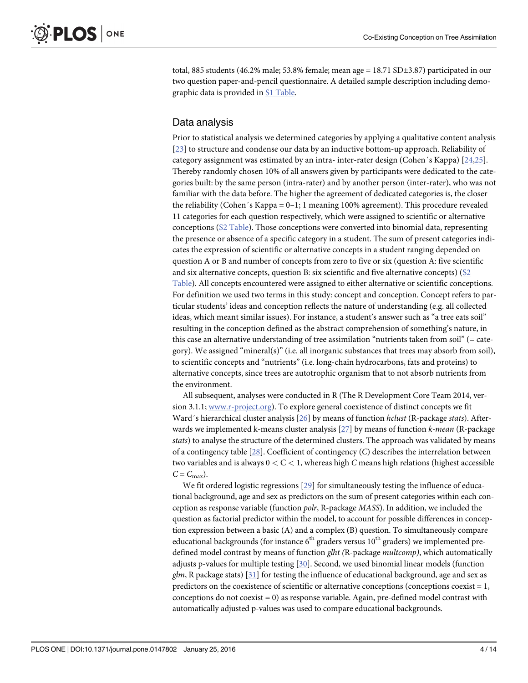<span id="page-3-0"></span>total, 885 students (46.2% male; 53.8% female; mean age =  $18.71$  SD $\pm$ 3.87) participated in our two question paper-and-pencil questionnaire. A detailed sample description including demographic data is provided in [S1 Table.](#page-11-0)

# Data analysis

Prior to statistical analysis we determined categories by applying a qualitative content analysis [\[23](#page-12-0)] to structure and condense our data by an inductive bottom-up approach. Reliability of category assignment was estimated by an intra- inter-rater design (Cohen´s Kappa)  $[24,25]$  $[24,25]$  $[24,25]$ . Thereby randomly chosen 10% of all answers given by participants were dedicated to the categories built: by the same person (intra-rater) and by another person (inter-rater), who was not familiar with the data before. The higher the agreement of dedicated categories is, the closer the reliability (Cohen's Kappa =  $0-1$ ; 1 meaning 100% agreement). This procedure revealed 11 categories for each question respectively, which were assigned to scientific or alternative conceptions [\(S2 Table](#page-11-0)). Those conceptions were converted into binomial data, representing the presence or absence of a specific category in a student. The sum of present categories indicates the expression of scientific or alternative concepts in a student ranging depended on question A or B and number of concepts from zero to five or six (question A: five scientific and six alternative concepts, question B: six scientific and five alternative concepts) ([S2](#page-11-0) [Table](#page-11-0)). All concepts encountered were assigned to either alternative or scientific conceptions. For definition we used two terms in this study: concept and conception. Concept refers to particular students' ideas and conception reflects the nature of understanding (e.g. all collected ideas, which meant similar issues). For instance, a student's answer such as "a tree eats soil" resulting in the conception defined as the abstract comprehension of something's nature, in this case an alternative understanding of tree assimilation "nutrients taken from soil" (= category). We assigned "mineral(s)" (i.e. all inorganic substances that trees may absorb from soil), to scientific concepts and "nutrients" (i.e. long-chain hydrocarbons, fats and proteins) to alternative concepts, since trees are autotrophic organism that to not absorb nutrients from the environment.

All subsequent, analyses were conducted in R (The R Development Core Team 2014, version 3.1.1; [www.r-project.org\)](http://www.r-project.org). To explore general coexistence of distinct concepts we fit Ward´s hierarchical cluster analysis  $[26]$  by means of function hclust (R-package stats). Afterwards we implemented k-means cluster analysis  $[27]$  $[27]$  $[27]$  by means of function k-mean (R-package stats) to analyse the structure of the determined clusters. The approach was validated by means of a contingency table  $[28]$ . Coefficient of contingency (C) describes the interrelation between two variables and is always  $0 < C < 1$ , whereas high C means high relations (highest accessible  $C = C_{\text{max}}$ .

We fit ordered logistic regressions [\[29\]](#page-12-0) for simultaneously testing the influence of educational background, age and sex as predictors on the sum of present categories within each conception as response variable (function polr, R-package MASS). In addition, we included the question as factorial predictor within the model, to account for possible differences in conception expression between a basic (A) and a complex (B) question. To simultaneously compare educational backgrounds (for instance  $6<sup>th</sup>$  graders versus  $10<sup>th</sup>$  graders) we implemented predefined model contrast by means of function *glht* (R-package *multcomp*), which automatically adjusts p-values for multiple testing [[30](#page-12-0)]. Second, we used binomial linear models (function  $q/m$ , R package stats) [[31\]](#page-12-0) for testing the influence of educational background, age and sex as predictors on the coexistence of scientific or alternative conceptions (conceptions coexist  $= 1$ , conceptions do not coexist  $= 0$ ) as response variable. Again, pre-defined model contrast with automatically adjusted p-values was used to compare educational backgrounds.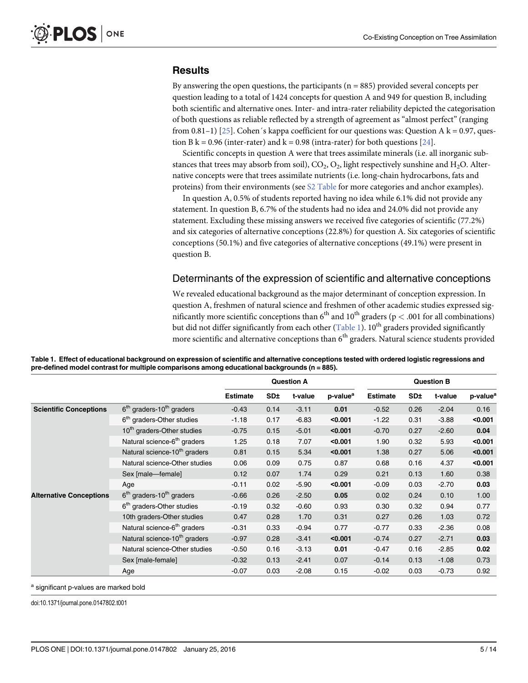## <span id="page-4-0"></span>**Results**

By answering the open questions, the participants  $(n = 885)$  provided several concepts per question leading to a total of 1424 concepts for question A and 949 for question B, including both scientific and alternative ones. Inter- and intra-rater reliability depicted the categorisation of both questions as reliable reflected by a strength of agreement as "almost perfect" (ranging from 0.81–1) [\[25](#page-12-0)]. Cohen's kappa coefficient for our questions was: Question A k = 0.97, question B k = 0.96 (inter-rater) and k = 0.98 (intra-rater) for both questions  $[24]$  $[24]$  $[24]$ .

Scientific concepts in question A were that trees assimilate minerals (i.e. all inorganic substances that trees may absorb from soil),  $CO_2$ ,  $O_2$ , light respectively sunshine and H<sub>2</sub>O. Alternative concepts were that trees assimilate nutrients (i.e. long-chain hydrocarbons, fats and proteins) from their environments (see [S2 Table](#page-11-0) for more categories and anchor examples).

In question A, 0.5% of students reported having no idea while 6.1% did not provide any statement. In question B, 6.7% of the students had no idea and 24.0% did not provide any statement. Excluding these missing answers we received five categories of scientific (77.2%) and six categories of alternative conceptions (22.8%) for question A. Six categories of scientific conceptions (50.1%) and five categories of alternative conceptions (49.1%) were present in question B.

#### Determinants of the expression of scientific and alternative conceptions

We revealed educational background as the major determinant of conception expression. In question A, freshmen of natural science and freshmen of other academic studies expressed significantly more scientific conceptions than  $6<sup>th</sup>$  and  $10<sup>th</sup>$  graders (p < .001 for all combinations) but did not differ significantly from each other  $(Table 1)$ .  $10<sup>th</sup>$  graders provided significantly more scientific and alternative conceptions than  $6<sup>th</sup>$  graders. Natural science students provided

|                                |                                                  | <b>Question A</b> |            |         |                      | <b>Question B</b> |            |         |                      |
|--------------------------------|--------------------------------------------------|-------------------|------------|---------|----------------------|-------------------|------------|---------|----------------------|
|                                |                                                  | <b>Estimate</b>   | <b>SD±</b> | t-value | p-value <sup>a</sup> | <b>Estimate</b>   | <b>SD±</b> | t-value | p-value <sup>a</sup> |
| <b>Scientific Conceptions</b>  | 6 <sup>th</sup> graders-10 <sup>th</sup> graders | $-0.43$           | 0.14       | $-3.11$ | 0.01                 | $-0.52$           | 0.26       | $-2.04$ | 0.16                 |
|                                | 6 <sup>th</sup> graders-Other studies            | $-1.18$           | 0.17       | $-6.83$ | < 0.001              | $-1.22$           | 0.31       | $-3.88$ | < 0.001              |
|                                | 10 <sup>th</sup> graders-Other studies           | $-0.75$           | 0.15       | $-5.01$ | < 0.001              | $-0.70$           | 0.27       | $-2.60$ | 0.04                 |
|                                | Natural science-6 <sup>th</sup> graders          | 1.25              | 0.18       | 7.07    | < 0.001              | 1.90              | 0.32       | 5.93    | < 0.001              |
|                                | Natural science-10 <sup>th</sup> graders         | 0.81              | 0.15       | 5.34    | < 0.001              | 1.38              | 0.27       | 5.06    | < 0.001              |
|                                | Natural science-Other studies                    | 0.06              | 0.09       | 0.75    | 0.87                 | 0.68              | 0.16       | 4.37    | < 0.001              |
|                                | Sex [male-female]                                | 0.12              | 0.07       | 1.74    | 0.29                 | 0.21              | 0.13       | 1.60    | 0.38                 |
|                                | Age                                              | $-0.11$           | 0.02       | $-5.90$ | < 0.001              | $-0.09$           | 0.03       | $-2.70$ | 0.03                 |
| <b>Alternative Conceptions</b> | 6 <sup>th</sup> graders-10 <sup>th</sup> graders | $-0.66$           | 0.26       | $-2.50$ | 0.05                 | 0.02              | 0.24       | 0.10    | 1.00                 |
|                                | 6 <sup>th</sup> graders-Other studies            | $-0.19$           | 0.32       | $-0.60$ | 0.93                 | 0.30              | 0.32       | 0.94    | 0.77                 |
|                                | 10th graders-Other studies                       | 0.47              | 0.28       | 1.70    | 0.31                 | 0.27              | 0.26       | 1.03    | 0.72                 |
|                                | Natural science-6 <sup>th</sup> graders          | $-0.31$           | 0.33       | $-0.94$ | 0.77                 | $-0.77$           | 0.33       | $-2.36$ | 0.08                 |
|                                | Natural science-10 <sup>th</sup> graders         | $-0.97$           | 0.28       | $-3.41$ | < 0.001              | $-0.74$           | 0.27       | $-2.71$ | 0.03                 |
|                                | Natural science-Other studies                    | $-0.50$           | 0.16       | $-3.13$ | 0.01                 | $-0.47$           | 0.16       | $-2.85$ | 0.02                 |
|                                | Sex [male-female]                                | $-0.32$           | 0.13       | $-2.41$ | 0.07                 | $-0.14$           | 0.13       | $-1.08$ | 0.73                 |
|                                | Age                                              | $-0.07$           | 0.03       | $-2.08$ | 0.15                 | $-0.02$           | 0.03       | $-0.73$ | 0.92                 |

Table 1. Effect of educational background on expression of scientific and alternative conceptions tested with ordered logistic regressions and pre-defined model contrast for multiple comparisons among educational backgrounds (n = 885).

a significant p-values are marked bold

doi:10.1371/journal.pone.0147802.t001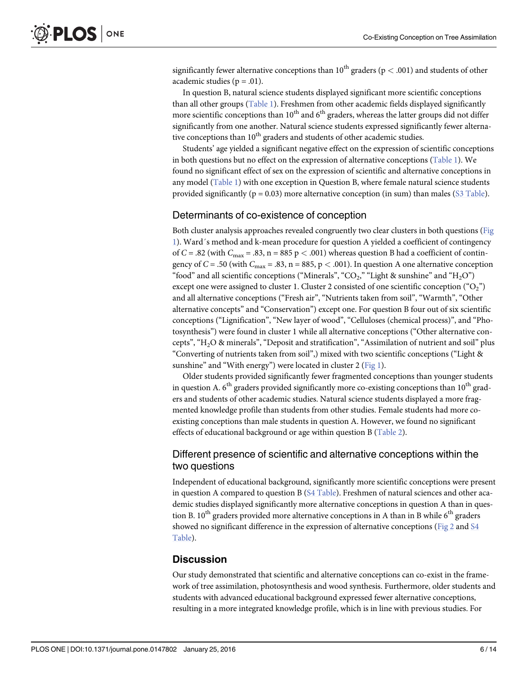<span id="page-5-0"></span>significantly fewer alternative conceptions than  $10^{th}$  graders ( $p < .001$ ) and students of other academic studies ( $p = .01$ ).

In question B, natural science students displayed significant more scientific conceptions than all other groups [\(Table 1](#page-4-0)). Freshmen from other academic fields displayed significantly more scientific conceptions than  $10^{th}$  and  $6^{th}$  graders, whereas the latter groups did not differ significantly from one another. Natural science students expressed significantly fewer alternative conceptions than 10<sup>th</sup> graders and students of other academic studies.

Students' age yielded a significant negative effect on the expression of scientific conceptions in both questions but no effect on the expression of alternative conceptions ([Table 1](#page-4-0)). We found no significant effect of sex on the expression of scientific and alternative conceptions in any model [\(Table 1](#page-4-0)) with one exception in Question B, where female natural science students provided significantly ( $p = 0.03$ ) more alternative conception (in sum) than males ( $S3$  Table).

## Determinants of co-existence of conception

Both cluster analysis approaches revealed congruently two clear clusters in both questions [\(Fig](#page-6-0) [1\)](#page-6-0). Ward´s method and k-mean procedure for question A yielded a coefficient of contingency of C = .82 (with  $C_{\text{max}}$  = .83, n = 885 p < .001) whereas question B had a coefficient of contingency of  $C = .50$  (with  $C_{\text{max}} = .83$ , n = 885, p < .001). In question A one alternative conception "food" and all scientific conceptions ("Minerals", "CO<sub>2</sub>," "Light & sunshine" and "H<sub>2</sub>O") except one were assigned to cluster 1. Cluster 2 consisted of one scientific conception  $({}^{\omega}O_2)$ ") and all alternative conceptions ("Fresh air", "Nutrients taken from soil", "Warmth", "Other alternative concepts" and "Conservation") except one. For question B four out of six scientific conceptions ("Lignification", "New layer of wood", "Celluloses (chemical process)", and "Photosynthesis") were found in cluster 1 while all alternative conceptions ("Other alternative concepts", "H2O & minerals", "Deposit and stratification", "Assimilation of nutrient and soil" plus "Converting of nutrients taken from soil",) mixed with two scientific conceptions ("Light & sunshine" and "With energy") were located in cluster  $2$  ([Fig 1](#page-6-0)).

Older students provided significantly fewer fragmented conceptions than younger students in question A.  $6<sup>th</sup>$  graders provided significantly more co-existing conceptions than  $10<sup>th</sup>$  graders and students of other academic studies. Natural science students displayed a more fragmented knowledge profile than students from other studies. Female students had more coexisting conceptions than male students in question A. However, we found no significant effects of educational background or age within question B [\(Table 2\)](#page-7-0).

# Different presence of scientific and alternative conceptions within the two questions

Independent of educational background, significantly more scientific conceptions were present in question A compared to question B ([S4 Table\)](#page-11-0). Freshmen of natural sciences and other academic studies displayed significantly more alternative conceptions in question A than in question B.  $10^{th}$  graders provided more alternative conceptions in A than in B while  $6^{th}$  graders showed no significant difference in the expression of alternative conceptions [\(Fig 2](#page-7-0) and [S4](#page-11-0) [Table](#page-11-0)).

#### **Discussion**

Our study demonstrated that scientific and alternative conceptions can co-exist in the framework of tree assimilation, photosynthesis and wood synthesis. Furthermore, older students and students with advanced educational background expressed fewer alternative conceptions, resulting in a more integrated knowledge profile, which is in line with previous studies. For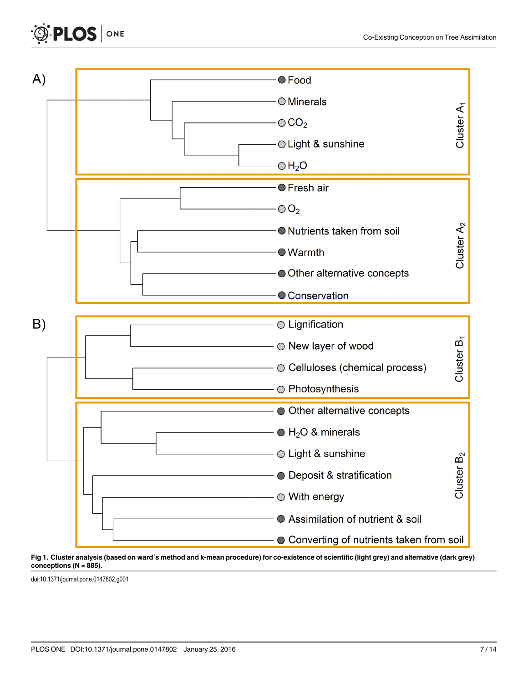<span id="page-6-0"></span>



[Fig 1. C](#page-5-0)luster analysis (based on ward´s method and k-mean procedure) for co-existence of scientific (light grey) and alternative (dark grey) conceptions ( $N = 885$ ).

doi:10.1371/journal.pone.0147802.g001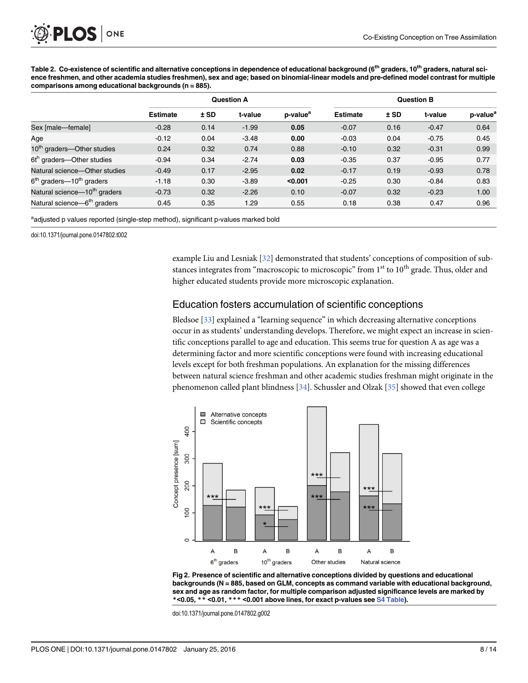<span id="page-7-0"></span>

[Table 2.](#page-5-0) Co-existence of scientific and alternative conceptions in dependence of educational background (6<sup>th</sup> graders, 10<sup>th</sup> graders, natural science freshmen, and other academia studies freshmen), sex and age; based on binomial-linear models and pre-defined model contrast for multiple comparisons among educational backgrounds (n = 885).

|                                          | <b>Question A</b> |        |         |                      | <b>Question B</b> |        |         |                      |  |
|------------------------------------------|-------------------|--------|---------|----------------------|-------------------|--------|---------|----------------------|--|
|                                          | <b>Estimate</b>   | $±$ SD | t-value | p-value <sup>a</sup> | <b>Estimate</b>   | $±$ SD | t-value | p-value <sup>a</sup> |  |
| Sex [male-female]                        | $-0.28$           | 0.14   | $-1.99$ | 0.05                 | $-0.07$           | 0.16   | $-0.47$ | 0.64                 |  |
| Age                                      | $-0.12$           | 0.04   | $-3.48$ | 0.00                 | $-0.03$           | 0.04   | $-0.75$ | 0.45                 |  |
| 10 <sup>th</sup> graders-Other studies   | 0.24              | 0.32   | 0.74    | 0.88                 | $-0.10$           | 0.32   | $-0.31$ | 0.99                 |  |
| 6th graders-Other studies                | $-0.94$           | 0.34   | $-2.74$ | 0.03                 | $-0.35$           | 0.37   | $-0.95$ | 0.77                 |  |
| Natural science-Other studies            | $-0.49$           | 0.17   | $-2.95$ | 0.02                 | $-0.17$           | 0.19   | $-0.93$ | 0.78                 |  |
| $6th$ graders—10 <sup>th</sup> graders   | $-1.18$           | 0.30   | $-3.89$ | < 0.001              | $-0.25$           | 0.30   | $-0.84$ | 0.83                 |  |
| Natural science-10 <sup>th</sup> graders | $-0.73$           | 0.32   | $-2.26$ | 0.10                 | $-0.07$           | 0.32   | $-0.23$ | 1.00                 |  |
| Natural science-6 <sup>th</sup> graders  | 0.45              | 0.35   | 1.29    | 0.55                 | 0.18              | 0.38   | 0.47    | 0.96                 |  |

<sup>a</sup>adjusted p values reported (single-step method), significant p-values marked bold

doi:10.1371/journal.pone.0147802.t002

example Liu and Lesniak [\[32\]](#page-12-0) demonstrated that students' conceptions of composition of substances integrates from "macroscopic to microscopic" from  $1<sup>st</sup>$  to  $10<sup>th</sup>$  grade. Thus, older and higher educated students provide more microscopic explanation.

#### Education fosters accumulation of scientific conceptions

Bledsoe [\[33\]](#page-12-0) explained a "learning sequence" in which decreasing alternative conceptions occur in as students' understanding develops. Therefore, we might expect an increase in scientific conceptions parallel to age and education. This seems true for question A as age was a determining factor and more scientific conceptions were found with increasing educational levels except for both freshman populations. An explanation for the missing differences between natural science freshman and other academic studies freshman might originate in the phenomenon called plant blindness [[34](#page-12-0)]. Schussler and Olzak [\[35](#page-12-0)] showed that even college



[Fig 2. P](#page-5-0)resence of scientific and alternative conceptions divided by questions and educational backgrounds (N = 885, based on GLM, concepts as command variable with educational background, sex and age as random factor, for multiple comparison adjusted significance levels are marked by  $*$ <0.05,  $*$  $*$  <0.01,  $***$  <0.001 above lines, for exact p-values see  $\underline{S4}$  Table).

doi:10.1371/journal.pone.0147802.g002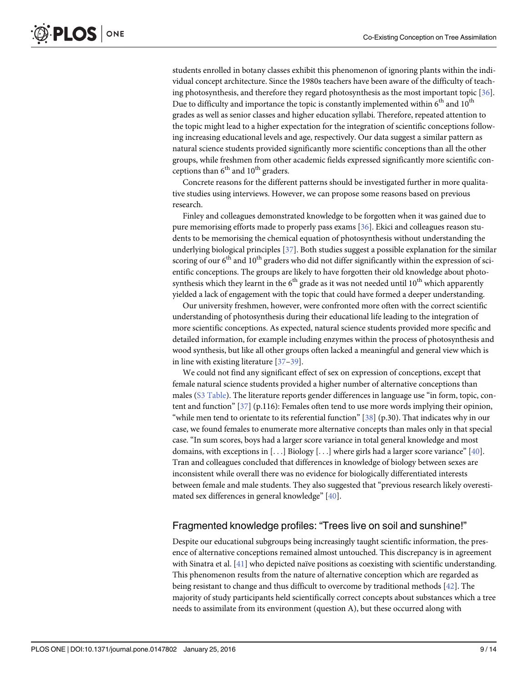<span id="page-8-0"></span>students enrolled in botany classes exhibit this phenomenon of ignoring plants within the individual concept architecture. Since the 1980s teachers have been aware of the difficulty of teaching photosynthesis, and therefore they regard photosynthesis as the most important topic [[36](#page-12-0)]. Due to difficulty and importance the topic is constantly implemented within  $6<sup>th</sup>$  and  $10<sup>th</sup>$ grades as well as senior classes and higher education syllabi. Therefore, repeated attention to the topic might lead to a higher expectation for the integration of scientific conceptions following increasing educational levels and age, respectively. Our data suggest a similar pattern as natural science students provided significantly more scientific conceptions than all the other groups, while freshmen from other academic fields expressed significantly more scientific conceptions than  $6<sup>th</sup>$  and  $10<sup>th</sup>$  graders.

Concrete reasons for the different patterns should be investigated further in more qualitative studies using interviews. However, we can propose some reasons based on previous research.

Finley and colleagues demonstrated knowledge to be forgotten when it was gained due to pure memorising efforts made to properly pass exams [\[36](#page-12-0)]. Ekici and colleagues reason students to be memorising the chemical equation of photosynthesis without understanding the underlying biological principles [[37\]](#page-13-0). Both studies suggest a possible explanation for the similar scoring of our  $6<sup>th</sup>$  and  $10<sup>th</sup>$  graders who did not differ significantly within the expression of scientific conceptions. The groups are likely to have forgotten their old knowledge about photosynthesis which they learnt in the  $6<sup>th</sup>$  grade as it was not needed until  $10<sup>th</sup>$  which apparently yielded a lack of engagement with the topic that could have formed a deeper understanding.

Our university freshmen, however, were confronted more often with the correct scientific understanding of photosynthesis during their educational life leading to the integration of more scientific conceptions. As expected, natural science students provided more specific and detailed information, for example including enzymes within the process of photosynthesis and wood synthesis, but like all other groups often lacked a meaningful and general view which is in line with existing literature [\[37](#page-13-0)–[39](#page-13-0)].

We could not find any significant effect of sex on expression of conceptions, except that female natural science students provided a higher number of alternative conceptions than males [\(S3 Table](#page-11-0)). The literature reports gender differences in language use "in form, topic, content and function" [\[37](#page-13-0)] (p.116): Females often tend to use more words implying their opinion, "while men tend to orientate to its referential function"  $[38]$  (p.30). That indicates why in our case, we found females to enumerate more alternative concepts than males only in that special case. "In sum scores, boys had a larger score variance in total general knowledge and most domains, with exceptions in [...] Biology [...] where girls had a larger score variance"  $[40]$  $[40]$  $[40]$ . Tran and colleagues concluded that differences in knowledge of biology between sexes are inconsistent while overall there was no evidence for biologically differentiated interests between female and male students. They also suggested that "previous research likely overesti-mated sex differences in general knowledge" [[40](#page-13-0)].

### Fragmented knowledge profiles: "Trees live on soil and sunshine!"

Despite our educational subgroups being increasingly taught scientific information, the presence of alternative conceptions remained almost untouched. This discrepancy is in agreement with Sinatra et al. [\[41\]](#page-13-0) who depicted naïve positions as coexisting with scientific understanding. This phenomenon results from the nature of alternative conception which are regarded as being resistant to change and thus difficult to overcome by traditional methods [\[42](#page-13-0)]. The majority of study participants held scientifically correct concepts about substances which a tree needs to assimilate from its environment (question A), but these occurred along with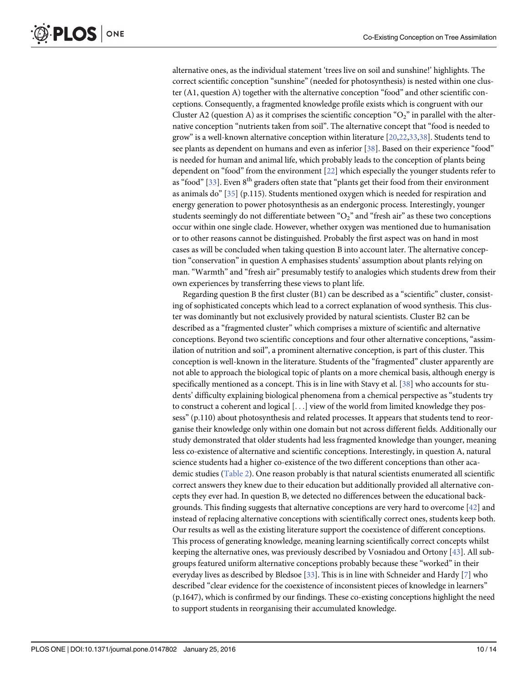<span id="page-9-0"></span>alternative ones, as the individual statement 'trees live on soil and sunshine!' highlights. The correct scientific conception "sunshine" (needed for photosynthesis) is nested within one cluster (A1, question A) together with the alternative conception "food" and other scientific conceptions. Consequently, a fragmented knowledge profile exists which is congruent with our Cluster A2 (question A) as it comprises the scientific conception " $O_2$ " in parallel with the alternative conception "nutrients taken from soil". The alternative concept that "food is needed to grow" is a well-known alternative conception within literature  $[20,22,33,38]$  $[20,22,33,38]$  $[20,22,33,38]$  $[20,22,33,38]$  $[20,22,33,38]$ . Students tend to see plants as dependent on humans and even as inferior [[38](#page-13-0)]. Based on their experience "food" is needed for human and animal life, which probably leads to the conception of plants being dependent on "food" from the environment [[22\]](#page-12-0) which especially the younger students refer to as "food"  $[33]$  $[33]$ . Even  $8<sup>th</sup>$  graders often state that "plants get their food from their environment as animals do" [\[35\]](#page-12-0) (p.115). Students mentioned oxygen which is needed for respiration and energy generation to power photosynthesis as an endergonic process. Interestingly, younger students seemingly do not differentiate between " $O<sub>2</sub>$ " and "fresh air" as these two conceptions occur within one single clade. However, whether oxygen was mentioned due to humanisation or to other reasons cannot be distinguished. Probably the first aspect was on hand in most cases as will be concluded when taking question B into account later. The alternative conception "conservation" in question A emphasises students' assumption about plants relying on man. "Warmth" and "fresh air" presumably testify to analogies which students drew from their own experiences by transferring these views to plant life.

Regarding question B the first cluster (B1) can be described as a "scientific" cluster, consisting of sophisticated concepts which lead to a correct explanation of wood synthesis. This cluster was dominantly but not exclusively provided by natural scientists. Cluster B2 can be described as a "fragmented cluster" which comprises a mixture of scientific and alternative conceptions. Beyond two scientific conceptions and four other alternative conceptions, "assimilation of nutrition and soil", a prominent alternative conception, is part of this cluster. This conception is well-known in the literature. Students of the "fragmented" cluster apparently are not able to approach the biological topic of plants on a more chemical basis, although energy is specifically mentioned as a concept. This is in line with Stavy et al. [\[38](#page-13-0)] who accounts for students' difficulty explaining biological phenomena from a chemical perspective as "students try to construct a coherent and logical [...] view of the world from limited knowledge they possess" (p.110) about photosynthesis and related processes. It appears that students tend to reorganise their knowledge only within one domain but not across different fields. Additionally our study demonstrated that older students had less fragmented knowledge than younger, meaning less co-existence of alternative and scientific conceptions. Interestingly, in question A, natural science students had a higher co-existence of the two different conceptions than other academic studies ([Table 2\)](#page-7-0). One reason probably is that natural scientists enumerated all scientific correct answers they knew due to their education but additionally provided all alternative concepts they ever had. In question B, we detected no differences between the educational backgrounds. This finding suggests that alternative conceptions are very hard to overcome [\[42\]](#page-13-0) and instead of replacing alternative conceptions with scientifically correct ones, students keep both. Our results as well as the existing literature support the coexistence of different conceptions. This process of generating knowledge, meaning learning scientifically correct concepts whilst keeping the alternative ones, was previously described by Vosniadou and Ortony [[43](#page-13-0)]. All subgroups featured uniform alternative conceptions probably because these "worked" in their everyday lives as described by Bledsoe [[33](#page-12-0)]. This is in line with Schneider and Hardy [\[7](#page-11-0)] who described "clear evidence for the coexistence of inconsistent pieces of knowledge in learners" (p.1647), which is confirmed by our findings. These co-existing conceptions highlight the need to support students in reorganising their accumulated knowledge.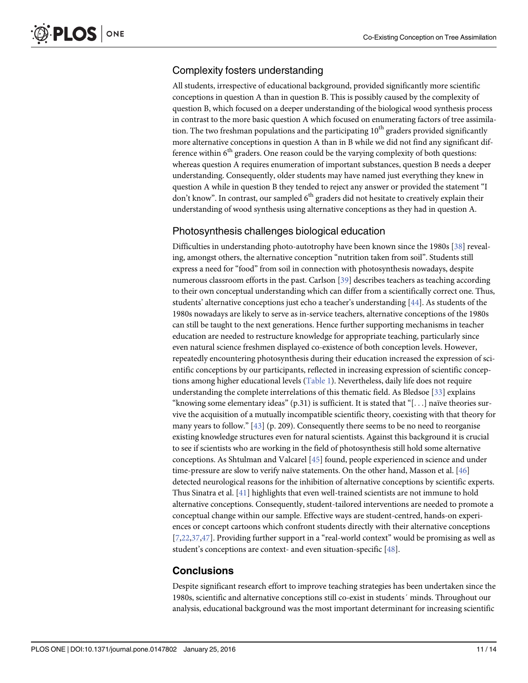# <span id="page-10-0"></span>Complexity fosters understanding

All students, irrespective of educational background, provided significantly more scientific conceptions in question A than in question B. This is possibly caused by the complexity of question B, which focused on a deeper understanding of the biological wood synthesis process in contrast to the more basic question A which focused on enumerating factors of tree assimilation. The two freshman populations and the participating  $10<sup>th</sup>$  graders provided significantly more alternative conceptions in question A than in B while we did not find any significant difference within  $6<sup>th</sup>$  graders. One reason could be the varying complexity of both questions: whereas question A requires enumeration of important substances, question B needs a deeper understanding. Consequently, older students may have named just everything they knew in question A while in question B they tended to reject any answer or provided the statement "I don't know". In contrast, our sampled  $6<sup>th</sup>$  graders did not hesitate to creatively explain their understanding of wood synthesis using alternative conceptions as they had in question A.

# Photosynthesis challenges biological education

Difficulties in understanding photo-autotrophy have been known since the 1980s [[38](#page-13-0)] revealing, amongst others, the alternative conception "nutrition taken from soil". Students still express a need for "food" from soil in connection with photosynthesis nowadays, despite numerous classroom efforts in the past. Carlson [[39\]](#page-13-0) describes teachers as teaching according to their own conceptual understanding which can differ from a scientifically correct one. Thus, students' alternative conceptions just echo a teacher's understanding [[44](#page-13-0)]. As students of the 1980s nowadays are likely to serve as in-service teachers, alternative conceptions of the 1980s can still be taught to the next generations. Hence further supporting mechanisms in teacher education are needed to restructure knowledge for appropriate teaching, particularly since even natural science freshmen displayed co-existence of both conception levels. However, repeatedly encountering photosynthesis during their education increased the expression of scientific conceptions by our participants, reflected in increasing expression of scientific conceptions among higher educational levels ([Table 1](#page-4-0)). Nevertheless, daily life does not require understanding the complete interrelations of this thematic field. As Bledsoe [[33](#page-12-0)] explains "knowing some elementary ideas"  $(p.31)$  is sufficient. It is stated that " $[...]$  naïve theories survive the acquisition of a mutually incompatible scientific theory, coexisting with that theory for many years to follow." [\[43\]](#page-13-0) (p. 209). Consequently there seems to be no need to reorganise existing knowledge structures even for natural scientists. Against this background it is crucial to see if scientists who are working in the field of photosynthesis still hold some alternative conceptions. As Shtulman and Valcarel [\[45](#page-13-0)] found, people experienced in science and under time-pressure are slow to verify naïve statements. On the other hand, Masson et al. [\[46\]](#page-13-0) detected neurological reasons for the inhibition of alternative conceptions by scientific experts. Thus Sinatra et al. [[41\]](#page-13-0) highlights that even well-trained scientists are not immune to hold alternative conceptions. Consequently, student-tailored interventions are needed to promote a conceptual change within our sample. Effective ways are student-centred, hands-on experiences or concept cartoons which confront students directly with their alternative conceptions [\[7](#page-11-0)[,22](#page-12-0)[,37,47\]](#page-13-0). Providing further support in a "real-world context" would be promising as well as student's conceptions are context- and even situation-specific [[48](#page-13-0)].

# **Conclusions**

Despite significant research effort to improve teaching strategies has been undertaken since the 1980s, scientific and alternative conceptions still co-exist in students´ minds. Throughout our analysis, educational background was the most important determinant for increasing scientific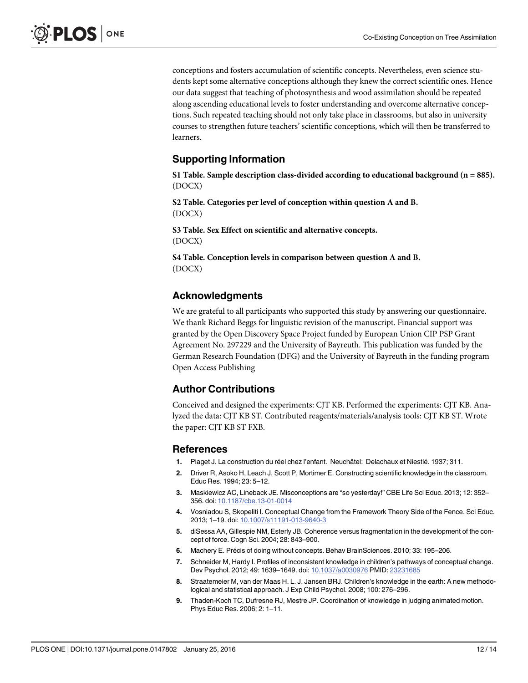<span id="page-11-0"></span>conceptions and fosters accumulation of scientific concepts. Nevertheless, even science students kept some alternative conceptions although they knew the correct scientific ones. Hence our data suggest that teaching of photosynthesis and wood assimilation should be repeated along ascending educational levels to foster understanding and overcome alternative conceptions. Such repeated teaching should not only take place in classrooms, but also in university courses to strengthen future teachers' scientific conceptions, which will then be transferred to learners.

# Supporting Information

[S1 Table](http://www.plosone.org/article/fetchSingleRepresentation.action?uri=info:doi/10.1371/journal.pone.0147802.s001). Sample description class-divided according to educational background ( $n = 885$ ). (DOCX)

[S2 Table](http://www.plosone.org/article/fetchSingleRepresentation.action?uri=info:doi/10.1371/journal.pone.0147802.s002). Categories per level of conception within question A and B. (DOCX)

[S3 Table](http://www.plosone.org/article/fetchSingleRepresentation.action?uri=info:doi/10.1371/journal.pone.0147802.s003). Sex Effect on scientific and alternative concepts. (DOCX)

[S4 Table](http://www.plosone.org/article/fetchSingleRepresentation.action?uri=info:doi/10.1371/journal.pone.0147802.s004). Conception levels in comparison between question A and B. (DOCX)

# Acknowledgments

We are grateful to all participants who supported this study by answering our questionnaire. We thank Richard Beggs for linguistic revision of the manuscript. Financial support was granted by the Open Discovery Space Project funded by European Union CIP PSP Grant Agreement No. 297229 and the University of Bayreuth. This publication was funded by the German Research Foundation (DFG) and the University of Bayreuth in the funding program Open Access Publishing

### Author Contributions

Conceived and designed the experiments: CJT KB. Performed the experiments: CJT KB. Analyzed the data: CJT KB ST. Contributed reagents/materials/analysis tools: CJT KB ST. Wrote the paper: CJT KB ST FXB.

#### References

- [1.](#page-1-0) Piaget J. La construction du réel chez l'enfant. Neuchâtel: Delachaux et Niestlé. 1937; 311.
- [2.](#page-1-0) Driver R, Asoko H, Leach J, Scott P, Mortimer E. Constructing scientific knowledge in the classroom. Educ Res. 1994; 23: 5–12.
- [3.](#page-1-0) Maskiewicz AC, Lineback JE. Misconceptions are "so yesterday!" CBE Life Sci Educ. 2013; 12: 352– 356. doi: [10.1187/cbe.13-01-0014](http://dx.doi.org/10.1187/cbe.13-01-0014)
- [4.](#page-1-0) Vosniadou S, Skopeliti I. Conceptual Change from the Framework Theory Side of the Fence. Sci Educ. 2013; 1–19. doi: [10.1007/s11191-013-9640-3](http://dx.doi.org/10.1007/s11191-013-9640-3)
- [5.](#page-1-0) diSessa AA, Gillespie NM, Esterly JB. Coherence versus fragmentation in the development of the concept of force. Cogn Sci. 2004; 28: 843–900.
- [6.](#page-1-0) Machery E. Précis of doing without concepts. Behav BrainSciences. 2010; 33: 195–206.
- [7.](#page-1-0) Schneider M, Hardy I. Profiles of inconsistent knowledge in children's pathways of conceptual change. Dev Psychol. 2012; 49: 1639–1649. doi: [10.1037/a0030976](http://dx.doi.org/10.1037/a0030976) PMID: [23231685](http://www.ncbi.nlm.nih.gov/pubmed/23231685)
- 8. Straatemeier M, van der Maas H. L. J. Jansen BRJ. Children's knowledge in the earth: A new methodological and statistical approach. J Exp Child Psychol. 2008; 100: 276–296.
- [9.](#page-1-0) Thaden-Koch TC, Dufresne RJ, Mestre JP. Coordination of knowledge in judging animated motion. Phys Educ Res. 2006; 2: 1–11.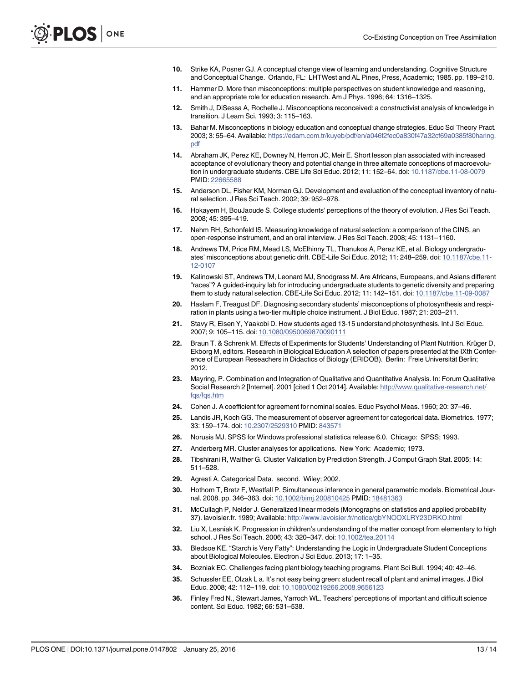- <span id="page-12-0"></span>[10.](#page-1-0) Strike KA, Posner GJ. A conceptual change view of learning and understanding. Cognitive Structure and Conceptual Change. Orlando, FL: LHTWest and AL Pines, Press, Academic; 1985. pp. 189–210.
- [11.](#page-1-0) Hammer D. More than misconceptions: multiple perspectives on student knowledge and reasoning, and an appropriate role for education research. Am J Phys. 1996; 64: 1316–1325.
- [12.](#page-1-0) Smith J, DiSessa A, Rochelle J. Misconceptions reconceived: a constructivist analysis of knowledge in transition. J Learn Sci. 1993; 3: 115–163.
- [13.](#page-1-0) Bahar M. Misconceptions in biology education and conceptual change strategies. Educ Sci Theory Pract. 2003; 3: 55–64. Available: [https://edam.com.tr/kuyeb/pdf/en/a046f2fec0a830f47a32cf69a0385f80haring.](https://edam.com.tr/kuyeb/pdf/en/a046f2fec0a830f47a32cf69a0385f80haring.pdf) [pdf](https://edam.com.tr/kuyeb/pdf/en/a046f2fec0a830f47a32cf69a0385f80haring.pdf)
- [14.](#page-1-0) Abraham JK, Perez KE, Downey N, Herron JC, Meir E. Short lesson plan associated with increased acceptance of evolutionary theory and potential change in three alternate conceptions of macroevolution in undergraduate students. CBE Life Sci Educ. 2012; 11: 152–64. doi: [10.1187/cbe.11-08-0079](http://dx.doi.org/10.1187/cbe.11-08-0079) PMID: [22665588](http://www.ncbi.nlm.nih.gov/pubmed/22665588)
- 15. Anderson DL, Fisher KM, Norman GJ. Development and evaluation of the conceptual inventory of natural selection. J Res Sci Teach. 2002; 39: 952–978.
- 16. Hokayem H, BouJaoude S. College students' perceptions of the theory of evolution. J Res Sci Teach. 2008; 45: 395–419.
- 17. Nehm RH, Schonfeld IS. Measuring knowledge of natural selection: a comparison of the CINS, an open-response instrument, and an oral interview. J Res Sci Teach. 2008; 45: 1131–1160.
- 18. Andrews TM, Price RM, Mead LS, McElhinny TL, Thanukos A, Perez KE, et al. Biology undergraduates' misconceptions about genetic drift. CBE-Life Sci Educ. 2012; 11: 248–259. doi: [10.1187/cbe.11-](http://dx.doi.org/10.1187/cbe.11-12-0107) [12-0107](http://dx.doi.org/10.1187/cbe.11-12-0107)
- [19.](#page-1-0) Kalinowski ST, Andrews TM, Leonard MJ, Snodgrass M. Are Africans, Europeans, and Asians different "races"? A guided-inquiry lab for introducing undergraduate students to genetic diversity and preparing them to study natural selection. CBE-Life Sci Educ. 2012; 11: 142–151. doi: [10.1187/cbe.11-09-0087](http://dx.doi.org/10.1187/cbe.11-09-0087)
- [20.](#page-1-0) Haslam F, Treagust DF. Diagnosing secondary students' misconceptions of photosynthesis and respiration in plants using a two-tier multiple choice instrument. J Biol Educ. 1987; 21: 203–211.
- [21.](#page-1-0) Stavy R, Eisen Y, Yaakobi D. How students aged 13-15 understand photosynthesis. Int J Sci Educ. 2007; 9: 105–115. doi: [10.1080/0950069870090111](http://dx.doi.org/10.1080/0950069870090111)
- [22.](#page-1-0) Braun T. & Schrenk M. Effects of Experiments for Students' Understanding of Plant Nutrition. Krüger D, Ekborg M, editors. Research in Biological Education A selection of papers presented at the IXth Conference of European Reseachers in Didactics of Biology (ERIDOB). Berlin: Freie Universität Berlin; 2012.
- [23.](#page-3-0) Mayring, P. Combination and Integration of Qualitative and Quantitative Analysis. In: Forum Qualitative Social Research 2 [Internet]. 2001 [cited 1 Oct 2014]. Available: [http://www.qualitative-research.net/](http://www.qualitative-research.net/fqs/fqs.htm) [fqs/fqs.htm](http://www.qualitative-research.net/fqs/fqs.htm)
- [24.](#page-3-0) Cohen J. A coefficient for agreement for nominal scales. Educ Psychol Meas. 1960; 20: 37–46.
- [25.](#page-3-0) Landis JR, Koch GG. The measurement of observer agreement for categorical data. Biometrics. 1977; 33: 159–174. doi: [10.2307/2529310](http://dx.doi.org/10.2307/2529310) PMID: [843571](http://www.ncbi.nlm.nih.gov/pubmed/843571)
- [26.](#page-3-0) Norusis MJ. SPSS for Windows professional statistica release 6.0. Chicago: SPSS; 1993.
- [27.](#page-3-0) Anderberg MR. Cluster analyses for applications. New York: Academic; 1973.
- [28.](#page-3-0) Tibshirani R, Walther G. Cluster Validation by Prediction Strength. J Comput Graph Stat. 2005; 14: 511–528.
- [29.](#page-3-0) Agresti A. Categorical Data. second. Wiley; 2002.
- [30.](#page-3-0) Hothorn T, Bretz F, Westfall P. Simultaneous inference in general parametric models. Biometrical Journal. 2008. pp. 346–363. doi: [10.1002/bimj.200810425](http://dx.doi.org/10.1002/bimj.200810425) PMID: [18481363](http://www.ncbi.nlm.nih.gov/pubmed/18481363)
- [31.](#page-3-0) McCullagh P, Nelder J. Generalized linear models (Monographs on statistics and applied probability 37). lavoisier.fr. 1989; Available: <http://www.lavoisier.fr/notice/gbYNOOXLRY23DRKO.html>
- [32.](#page-7-0) Liu X, Lesniak K. Progression in children's understanding of the matter concept from elementary to high school. J Res Sci Teach. 2006; 43: 320–347. doi: [10.1002/tea.20114](http://dx.doi.org/10.1002/tea.20114)
- [33.](#page-7-0) Bledsoe KE. "Starch is Very Fatty": Understanding the Logic in Undergraduate Student Conceptions about Biological Molecules. Electron J Sci Educ. 2013; 17: 1–35.
- [34.](#page-7-0) Bozniak EC. Challenges facing plant biology teaching programs. Plant Sci Bull. 1994; 40: 42–46.
- [35.](#page-7-0) Schussler EE, Olzak L a. It's not easy being green: student recall of plant and animal images. J Biol Educ. 2008; 42: 112–119. doi: [10.1080/00219266.2008.9656123](http://dx.doi.org/10.1080/00219266.2008.9656123)
- [36.](#page-8-0) Finley Fred N., Stewart James, Yarroch WL. Teachers' perceptions of important and difficult science content. Sci Educ. 1982; 66: 531–538.